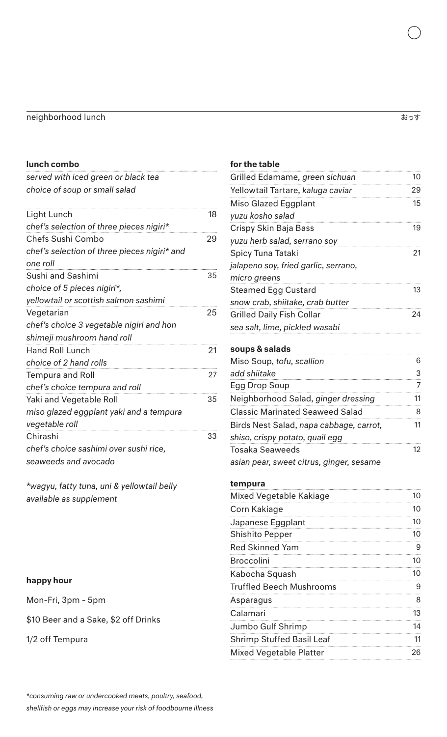#### neighborhood lunch ようすい しょくしょう しょうしょう しょうしょうしゅう おうすいしょう おっすい

#### lunch combo

*served with iced green or black tea choice of soup or small salad*

| Light Lunch                                  | 18 |
|----------------------------------------------|----|
| chef's selection of three pieces nigiri*     |    |
| Chefs Sushi Combo                            | 29 |
| chef's selection of three pieces nigiri* and |    |
| one roll                                     |    |
| Sushi and Sashimi                            | 35 |
| choice of 5 pieces nigiri*,                  |    |
| yellowtail or scottish salmon sashimi        |    |
| Vegetarian                                   | 25 |
| chef's choice 3 vegetable nigiri and hon     |    |
| shimeji mushroom hand roll                   |    |
| <b>Hand Roll Lunch</b>                       | 21 |
| choice of 2 hand rolls                       |    |
| <b>Tempura and Roll</b>                      | 27 |
| chef's choice tempura and roll               |    |
| Yaki and Vegetable Roll                      | 35 |
| miso glazed eggplant yaki and a tempura      |    |
| vegetable roll                               |    |
| Chirashi                                     | 33 |
| chef's choice sashimi over sushi rice,       |    |
| seaweeds and avocado                         |    |

*\*wagyu, fatty tuna, uni & yellowtail belly available as supplement* 

### happy hour

Mon-Fri, 3pm - 5pm

\$10 Beer and a Sake, \$2 off Drinks

1/2 off Tempura

### for the table Grilled Edamame*, green sichuan* 10 Yellowtail Tartare, *kaluga caviar* 29 Miso Glazed Eggplant *yuzu kosho salad* 15 Crispy Skin Baja Bass *yuzu herb salad, serrano soy* 19 Spicy Tuna Tataki *jalapeno soy, fried garlic, serrano, micro greens*  21 Steamed Egg Custard *snow crab, shiitake, crab butter* 13 Grilled Daily Fish Collar *sea salt, lime, pickled wasabi* 24 soups & salads Miso Soup, *tofu, scallion add shiitake* 6 3 Egg Drop Soup 7 Neighborhood Salad, *ginger dressing* 11 Classic Marinated Seaweed Salad 8 Birds Nest Salad, *napa cabbage, carrot, shiso, crispy potato, quail egg* 11 Tosaka Seaweeds *asian pear, sweet citrus, ginger, sesame* 12 tempura Mixed Vegetable Kakiage 10 Corn Kakiage 10 Japanese Eggplant 10 Shishito Pepper 10 Red Skinned Yam 9 Broccolini 10 Kabocha Squash 10

Truffled Beech Mushrooms 9 Asparagus 8 Calamari 13 Jumbo Gulf Shrimp 14 Shrimp Stuffed Basil Leaf 11 Mixed Vegetable Platter 26

*\*consuming raw or undercooked meats, poultry, seafood, shellfish or eggs may increase your risk of foodbourne illness*